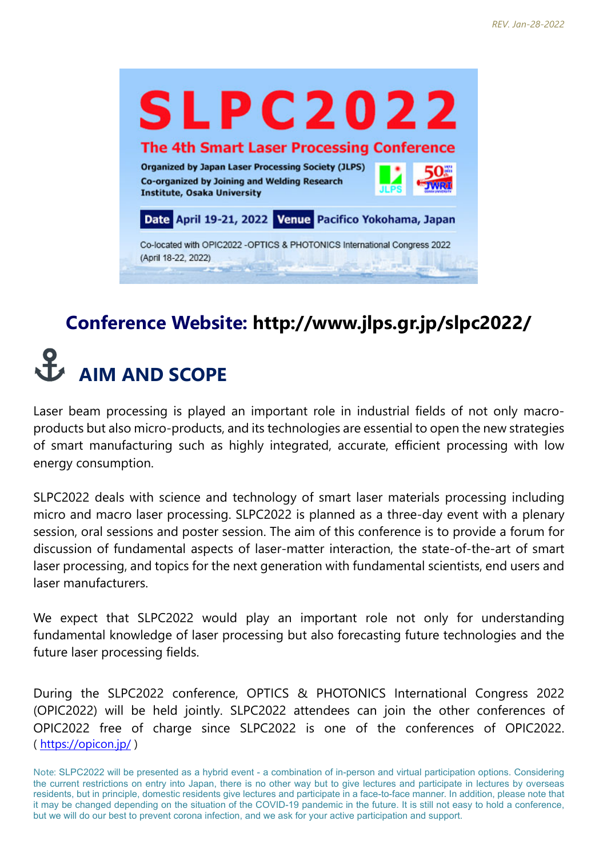

#### **Conference Website: http://www.jlps.gr.jp/slpc2022/**

### **AIM AND SCOPE**

Laser beam processing is played an important role in industrial fields of not only macroproducts but also micro-products, and its technologies are essential to open the new strategies of smart manufacturing such as highly integrated, accurate, efficient processing with low energy consumption.

SLPC2022 deals with science and technology of smart laser materials processing including micro and macro laser processing. SLPC2022 is planned as a three-day event with a plenary session, oral sessions and poster session. The aim of this conference is to provide a forum for discussion of fundamental aspects of laser-matter interaction, the state-of-the-art of smart laser processing, and topics for the next generation with fundamental scientists, end users and laser manufacturers.

We expect that SLPC2022 would play an important role not only for understanding fundamental knowledge of laser processing but also forecasting future technologies and the future laser processing fields.

During the SLPC2022 conference, OPTICS & PHOTONICS International Congress 2022 (OPIC2022) will be held jointly. SLPC2022 attendees can join the other conferences of OPIC2022 free of charge since SLPC2022 is one of the conferences of OPIC2022. ( https://opicon.jp/ )

Note: SLPC2022 will be presented as a hybrid event - a combination of in-person and virtual participation options. Considering the current restrictions on entry into Japan, there is no other way but to give lectures and participate in lectures by overseas residents, but in principle, domestic residents give lectures and participate in a face-to-face manner. In addition, please note that it may be changed depending on the situation of the COVID-19 pandemic in the future. It is still not easy to hold a conference, but we will do our best to prevent corona infection, and we ask for your active participation and support.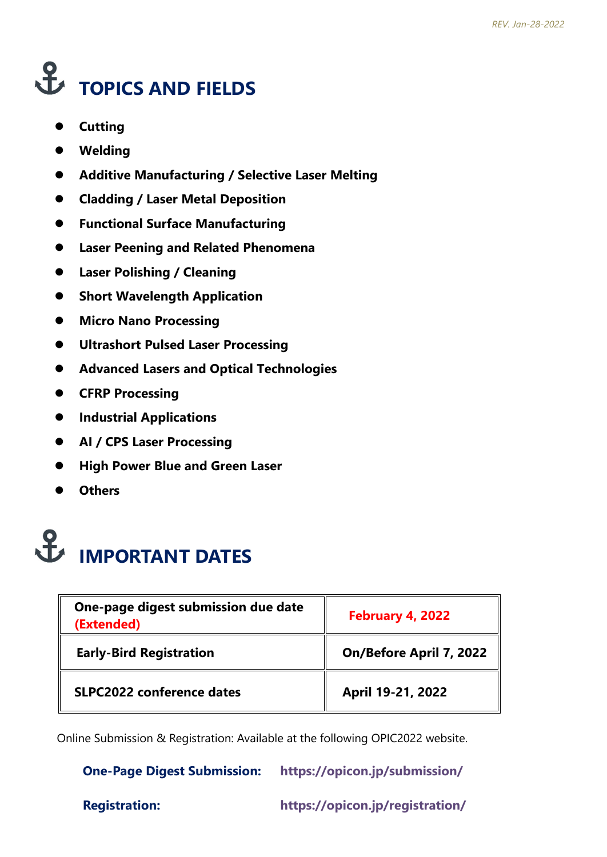# **TOPICS AND FIELDS**

- **•** Cutting
- **Welding**
- **Additive Manufacturing / Selective Laser Melting**
- **Cladding / Laser Metal Deposition**
- **Functional Surface Manufacturing**
- **Laser Peening and Related Phenomena**
- **Laser Polishing / Cleaning**
- **•** Short Wavelength Application
- **Micro Nano Processing**
- **Ultrashort Pulsed Laser Processing**
- **Advanced Lasers and Optical Technologies**
- **CFRP Processing**
- **•** Industrial Applications
- **AI / CPS Laser Processing**
- **High Power Blue and Green Laser**
- **Others**

## **IMPORTANT DATES**

| One-page digest submission due date<br>(Extended) | February 4, 2022        |
|---------------------------------------------------|-------------------------|
| <b>Early-Bird Registration</b>                    | On/Before April 7, 2022 |
| <b>SLPC2022 conference dates</b>                  | April 19-21, 2022       |

Online Submission & Registration: Available at the following OPIC2022 website.

 **One-Page Digest Submission: https://opicon.jp/submission/**

**Registration: https://opicon.jp/registration/**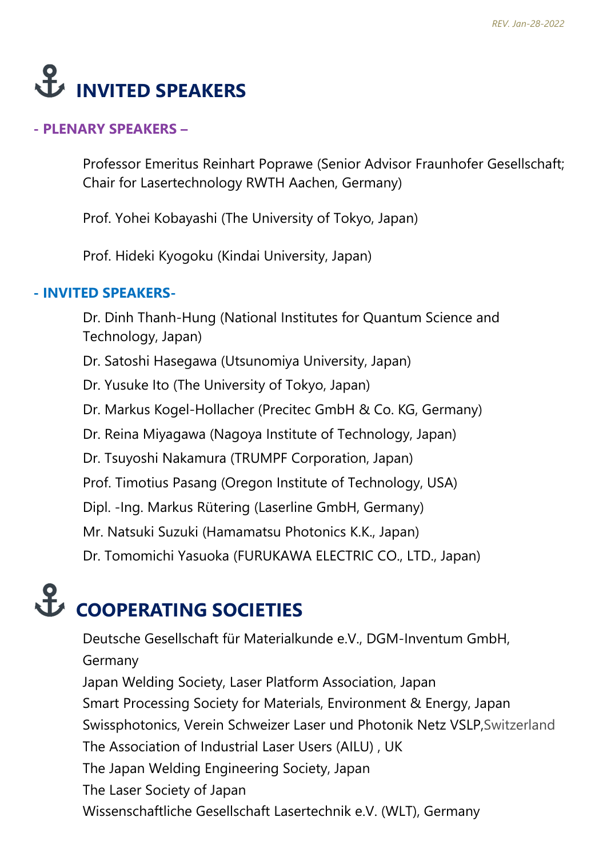### **E** INVITED SPEAKERS

#### **- PLENARY SPEAKERS –**

Professor Emeritus Reinhart Poprawe (Senior Advisor Fraunhofer Gesellschaft; Chair for Lasertechnology RWTH Aachen, Germany)

Prof. Yohei Kobayashi (The University of Tokyo, Japan)

Prof. Hideki Kyogoku (Kindai University, Japan)

#### **- INVITED SPEAKERS-**

Dr. Dinh Thanh-Hung (National Institutes for Quantum Science and Technology, Japan)

Dr. Satoshi Hasegawa (Utsunomiya University, Japan)

Dr. Yusuke Ito (The University of Tokyo, Japan)

Dr. Markus Kogel-Hollacher (Precitec GmbH & Co. KG, Germany)

Dr. Reina Miyagawa (Nagoya Institute of Technology, Japan)

Dr. Tsuyoshi Nakamura (TRUMPF Corporation, Japan)

Prof. Timotius Pasang (Oregon Institute of Technology, USA)

Dipl. -Ing. Markus Rütering (Laserline GmbH, Germany)

Mr. Natsuki Suzuki (Hamamatsu Photonics K.K., Japan)

Dr. Tomomichi Yasuoka (FURUKAWA ELECTRIC CO., LTD., Japan)

#### **COOPERATING SOCIETIES**

Deutsche Gesellschaft für Materialkunde e.V., DGM-Inventum GmbH, Germany Japan Welding Society, Laser Platform Association, Japan Smart Processing Society for Materials, Environment & Energy, Japan Swissphotonics, Verein Schweizer Laser und Photonik Netz VSLP,Switzerland The Association of Industrial Laser Users (AILU) , UK The Japan Welding Engineering Society, Japan The Laser Society of Japan Wissenschaftliche Gesellschaft Lasertechnik e.V. (WLT), Germany